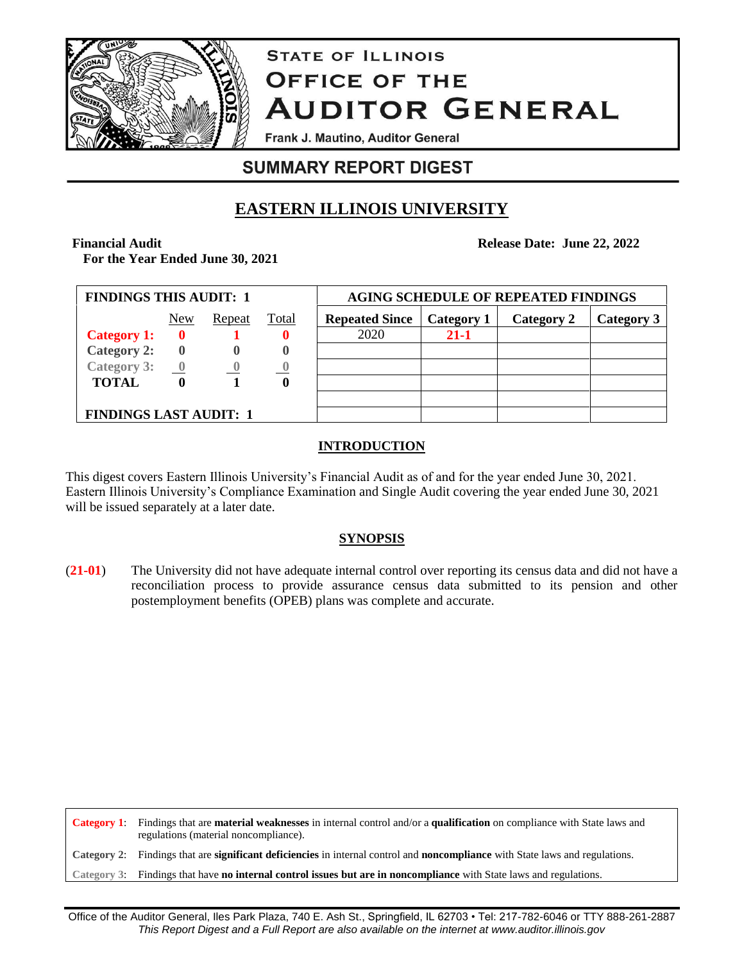

# **STATE OF ILLINOIS OFFICE OF THE AUDITOR GENERAL**

Frank J. Mautino, Auditor General

### **SUMMARY REPORT DIGEST**

## **EASTERN ILLINOIS UNIVERSITY**

**Financial Audit For the Year Ended June 30, 2021** **Release Date: June 22, 2022**

| <b>FINDINGS THIS AUDIT: 1</b> |                         |          |          | <b>AGING SCHEDULE OF REPEATED FINDINGS</b> |            |            |            |
|-------------------------------|-------------------------|----------|----------|--------------------------------------------|------------|------------|------------|
|                               | New                     | Repeat   | Total    | <b>Repeated Since</b>                      | Category 1 | Category 2 | Category 3 |
| <b>Category 1:</b>            | $\mathbf{0}$            |          |          | 2020                                       | $21 - 1$   |            |            |
| <b>Category 2:</b>            | $\mathbf{0}$            |          | $\bf{0}$ |                                            |            |            |            |
| <b>Category 3:</b>            | $\overline{\mathbf{0}}$ | $\theta$ |          |                                            |            |            |            |
| <b>TOTAL</b>                  |                         |          | 0        |                                            |            |            |            |
|                               |                         |          |          |                                            |            |            |            |
| <b>FINDINGS LAST AUDIT: 1</b> |                         |          |          |                                            |            |            |            |

#### **INTRODUCTION**

This digest covers Eastern Illinois University's Financial Audit as of and for the year ended June 30, 2021. Eastern Illinois University's Compliance Examination and Single Audit covering the year ended June 30, 2021 will be issued separately at a later date.

#### **SYNOPSIS**

(**21-01**) The University did not have adequate internal control over reporting its census data and did not have a reconciliation process to provide assurance census data submitted to its pension and other postemployment benefits (OPEB) plans was complete and accurate.

**Category 1**: Findings that are **material weaknesses** in internal control and/or a **qualification** on compliance with State laws and regulations (material noncompliance). **Category 2**: Findings that are **significant deficiencies** in internal control and **noncompliance** with State laws and regulations. **Category 3**: Findings that have **no internal control issues but are in noncompliance** with State laws and regulations.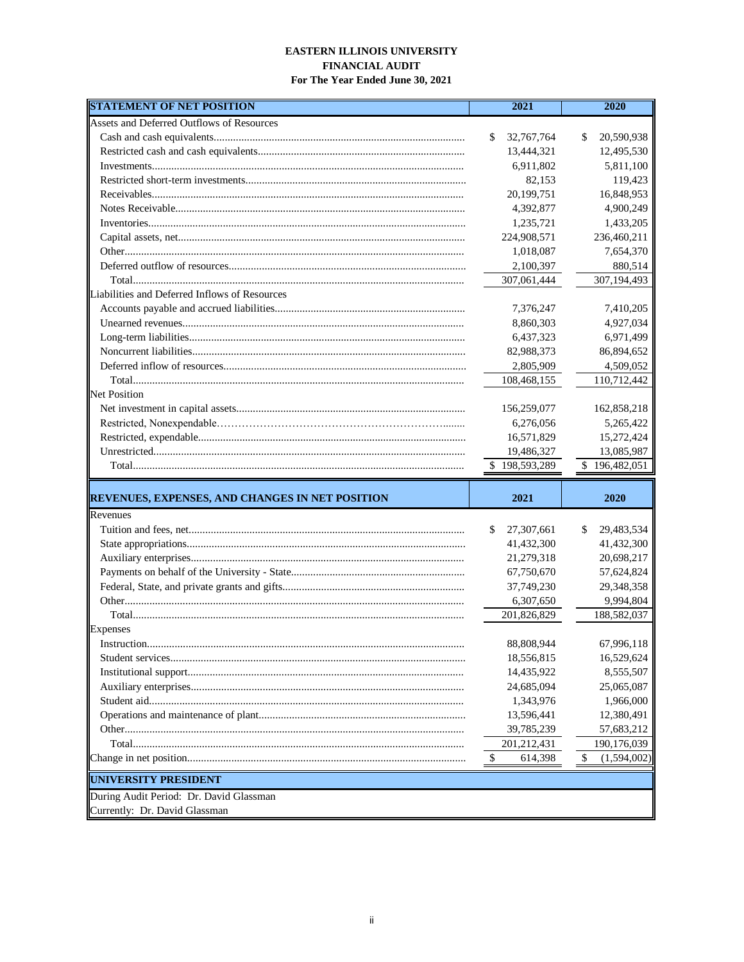#### EASTERN ILLINOIS UNIVERSITY FINANCIAL AUDIT For The Year Ended June 30, 2021

|                                                                 | 2021                    | 2020              |
|-----------------------------------------------------------------|-------------------------|-------------------|
| Assets and Deferred Outflows of Resources                       |                         |                   |
|                                                                 | 32,767,764<br>\$.       | 20,590,938<br>\$  |
|                                                                 | 13,444,321              | 12,495,530        |
|                                                                 | 6,911,802               | 5,811,100         |
|                                                                 | 82,153                  | 119,423           |
|                                                                 | 20,199,751              | 16,848,953        |
|                                                                 | 4,392,877               | 4,900,249         |
|                                                                 | 1,235,721               | 1,433,205         |
|                                                                 | 224,908,571             | 236,460,211       |
|                                                                 | 1,018,087               | 7,654,370         |
|                                                                 | 2,100,397               | 880,514           |
|                                                                 | 307,061,444             | 307,194,493       |
| Liabilities and Deferred Inflows of Resources                   |                         |                   |
|                                                                 | 7,376,247               | 7,410,205         |
|                                                                 | 8,860,303               | 4,927,034         |
|                                                                 | 6,437,323               | 6,971,499         |
|                                                                 | 82,988,373              | 86,894,652        |
|                                                                 | 2,805,909               | 4,509,052         |
|                                                                 | 108,468,155             | 110,712,442       |
| Net Position                                                    |                         |                   |
|                                                                 | 156,259,077             | 162,858,218       |
|                                                                 | 6,276,056               | 5,265,422         |
|                                                                 | 16,571,829              | 15,272,424        |
|                                                                 | 19,486,327              | 13,085,987        |
|                                                                 | \$198,593,289           | \$196,482,051     |
|                                                                 |                         |                   |
| <b>REVENUES, EXPENSES, AND CHANGES IN NET POSITION</b>          | 2021                    | 2020              |
| Revenues                                                        |                         |                   |
|                                                                 | 27,307,661<br>\$        | \$<br>29,483,534  |
|                                                                 | 41,432,300              | 41,432,300        |
|                                                                 |                         |                   |
|                                                                 | 21,279,318              | 20,698,217        |
|                                                                 | 67,750,670              | 57,624,824        |
|                                                                 | 37,749,230              | 29,348,358        |
|                                                                 | 6,307,650               | 9,994,804         |
|                                                                 | 201,826,829             | 188,582,037       |
|                                                                 |                         |                   |
|                                                                 | 88,808,944              | 67,996,118        |
|                                                                 | 18,556,815              | 16,529,624        |
|                                                                 | 14,435,922              | 8,555,507         |
|                                                                 | 24,685,094              | 25,065,087        |
|                                                                 | 1,343,976               | 1,966,000         |
|                                                                 | 13,596,441              | 12,380,491        |
|                                                                 | 39,785,239              | 57,683,212        |
|                                                                 | 201,212,431             | 190,176,039       |
| Expenses                                                        | $\mathbb{S}$<br>614,398 | \$<br>(1,594,002) |
|                                                                 |                         |                   |
| UNIVERSITY PRESIDENT<br>During Audit Period: Dr. David Glassman |                         |                   |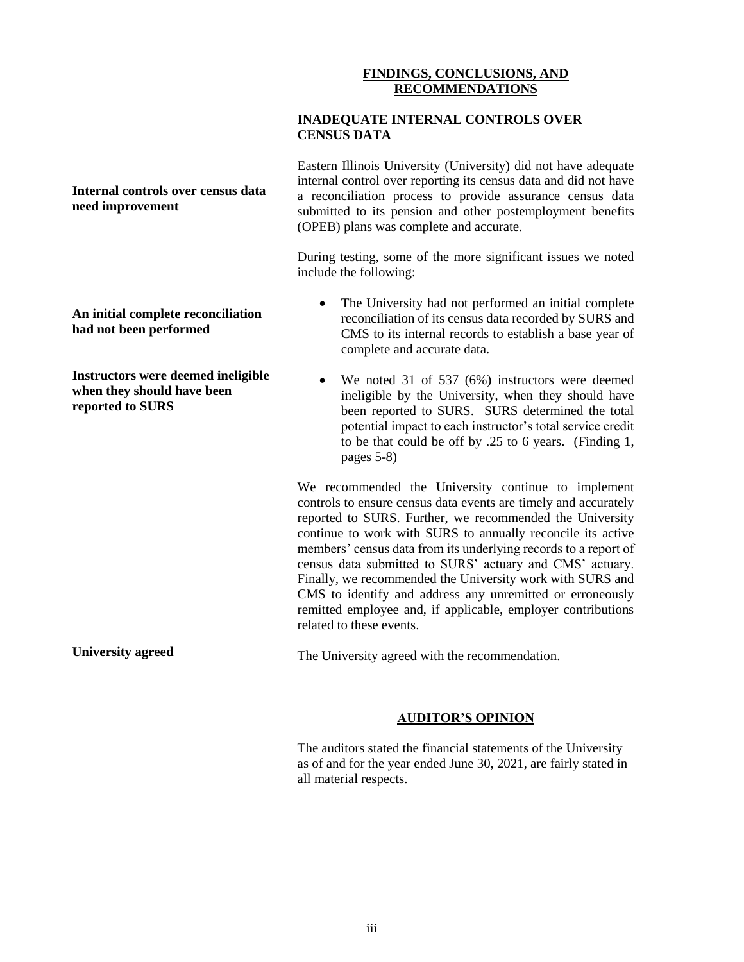#### **FINDINGS, CONCLUSIONS, AND RECOMMENDATIONS**

#### **INADEQUATE INTERNAL CONTROLS OVER CENSUS DATA**

Eastern Illinois University (University) did not have adequate internal control over reporting its census data and did not have a reconciliation process to provide assurance census data submitted to its pension and other postemployment benefits (OPEB) plans was complete and accurate.

During testing, some of the more significant issues we noted include the following:

• The University had not performed an initial complete reconciliation of its census data recorded by SURS and CMS to its internal records to establish a base year of complete and accurate data.

 We noted 31 of 537 (6%) instructors were deemed ineligible by the University, when they should have been reported to SURS. SURS determined the total potential impact to each instructor's total service credit to be that could be off by .25 to 6 years. (Finding 1, pages 5-8)

We recommended the University continue to implement controls to ensure census data events are timely and accurately reported to SURS. Further, we recommended the University continue to work with SURS to annually reconcile its active members' census data from its underlying records to a report of census data submitted to SURS' actuary and CMS' actuary. Finally, we recommended the University work with SURS and CMS to identify and address any unremitted or erroneously remitted employee and, if applicable, employer contributions related to these events.

The University agreed with the recommendation.

#### **AUDITOR'S OPINION**

The auditors stated the financial statements of the University as of and for the year ended June 30, 2021, are fairly stated in all material respects.

**Internal controls over census data need improvement**

**An initial complete reconciliation had not been performed**

**Instructors were deemed ineligible when they should have been reported to SURS**

**University agreed**